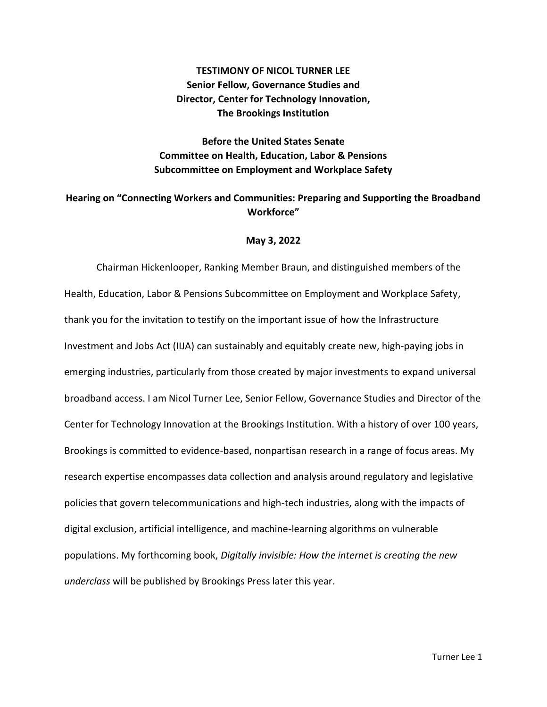# **TESTIMONY OF NICOL TURNER LEE Senior Fellow, Governance Studies and Director, Center for Technology Innovation, The Brookings Institution**

# **Before the United States Senate Committee on Health, Education, Labor & Pensions Subcommittee on Employment and Workplace Safety**

# **Hearing on "Connecting Workers and Communities: Preparing and Supporting the Broadband Workforce"**

### **May 3, 2022**

Chairman Hickenlooper, Ranking Member Braun, and distinguished members of the Health, Education, Labor & Pensions Subcommittee on Employment and Workplace Safety, thank you for the invitation to testify on the important issue of how the Infrastructure Investment and Jobs Act (IIJA) can sustainably and equitably create new, high-paying jobs in emerging industries, particularly from those created by major investments to expand universal broadband access. I am Nicol Turner Lee, Senior Fellow, Governance Studies and Director of the Center for Technology Innovation at the Brookings Institution. With a history of over 100 years, Brookings is committed to evidence-based, nonpartisan research in a range of focus areas. My research expertise encompasses data collection and analysis around regulatory and legislative policies that govern telecommunications and high-tech industries, along with the impacts of digital exclusion, artificial intelligence, and machine-learning algorithms on vulnerable populations. My forthcoming book, *Digitally invisible: How the internet is creating the new underclass* will be published by Brookings Press later this year.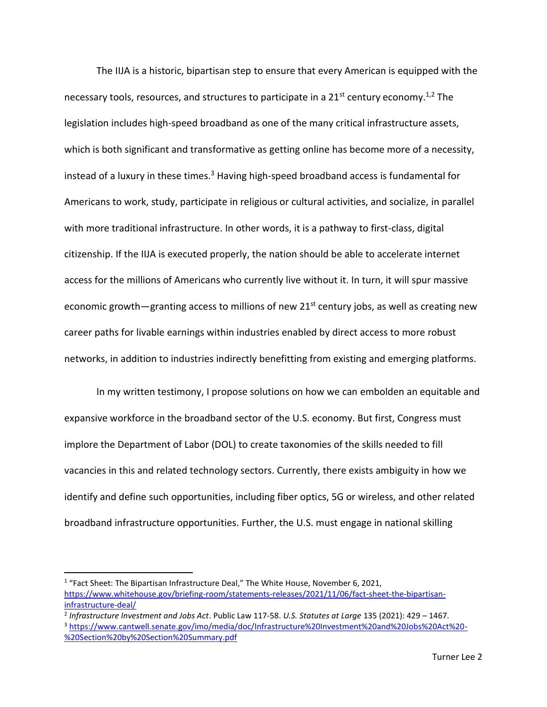The IIJA is a historic, bipartisan step to ensure that every American is equipped with the necessary tools, resources, and structures to participate in a  $21<sup>st</sup>$  century economy.<sup>1,2</sup> The legislation includes high-speed broadband as one of the many critical infrastructure assets, which is both significant and transformative as getting online has become more of a necessity, instead of a luxury in these times. $3$  Having high-speed broadband access is fundamental for Americans to work, study, participate in religious or cultural activities, and socialize, in parallel with more traditional infrastructure. In other words, it is a pathway to first-class, digital citizenship. If the IIJA is executed properly, the nation should be able to accelerate internet access for the millions of Americans who currently live without it. In turn, it will spur massive economic growth—granting access to millions of new  $21^{st}$  century jobs, as well as creating new career paths for livable earnings within industries enabled by direct access to more robust networks, in addition to industries indirectly benefitting from existing and emerging platforms.

In my written testimony, I propose solutions on how we can embolden an equitable and expansive workforce in the broadband sector of the U.S. economy. But first, Congress must implore the Department of Labor (DOL) to create taxonomies of the skills needed to fill vacancies in this and related technology sectors. Currently, there exists ambiguity in how we identify and define such opportunities, including fiber optics, 5G or wireless, and other related broadband infrastructure opportunities. Further, the U.S. must engage in national skilling

<sup>&</sup>lt;sup>1</sup> "Fact Sheet: The Bipartisan Infrastructure Deal," The White House, November 6, 2021, [https://www.whitehouse.gov/briefing-room/statements-releases/2021/11/06/fact-sheet-the-bipartisan](https://www.whitehouse.gov/briefing-room/statements-releases/2021/11/06/fact-sheet-the-bipartisan-infrastructure-deal/)[infrastructure-deal/](https://www.whitehouse.gov/briefing-room/statements-releases/2021/11/06/fact-sheet-the-bipartisan-infrastructure-deal/)

<sup>2</sup> *Infrastructure Investment and Jobs Act*. Public Law 117-58. *U.S. Statutes at Large* 135 (2021): 429 – 1467.

<sup>3</sup> [https://www.cantwell.senate.gov/imo/media/doc/Infrastructure%20Investment%20and%20Jobs%20Act%20-](https://www.cantwell.senate.gov/imo/media/doc/Infrastructure%20Investment%20and%20Jobs%20Act%20-%20Section%20by%20Section%20Summary.pdf) [%20Section%20by%20Section%20Summary.pdf](https://www.cantwell.senate.gov/imo/media/doc/Infrastructure%20Investment%20and%20Jobs%20Act%20-%20Section%20by%20Section%20Summary.pdf)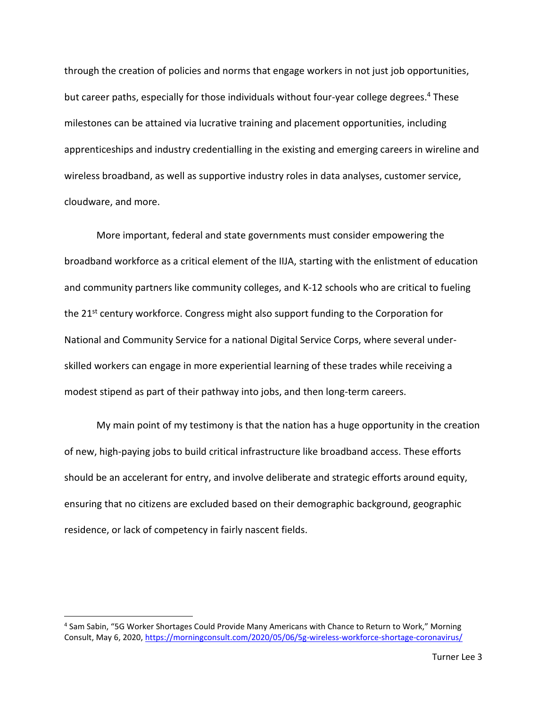through the creation of policies and norms that engage workers in not just job opportunities, but career paths, especially for those individuals without four-year college degrees. <sup>4</sup> These milestones can be attained via lucrative training and placement opportunities, including apprenticeships and industry credentialling in the existing and emerging careers in wireline and wireless broadband, as well as supportive industry roles in data analyses, customer service, cloudware, and more.

More important, federal and state governments must consider empowering the broadband workforce as a critical element of the IIJA, starting with the enlistment of education and community partners like community colleges, and K-12 schools who are critical to fueling the 21<sup>st</sup> century workforce. Congress might also support funding to the Corporation for National and Community Service for a national Digital Service Corps, where several underskilled workers can engage in more experiential learning of these trades while receiving a modest stipend as part of their pathway into jobs, and then long-term careers.

My main point of my testimony is that the nation has a huge opportunity in the creation of new, high-paying jobs to build critical infrastructure like broadband access. These efforts should be an accelerant for entry, and involve deliberate and strategic efforts around equity, ensuring that no citizens are excluded based on their demographic background, geographic residence, or lack of competency in fairly nascent fields.

<sup>4</sup> Sam Sabin, "5G Worker Shortages Could Provide Many Americans with Chance to Return to Work," Morning Consult, May 6, 2020[, https://morningconsult.com/2020/05/06/5g-wireless-workforce-shortage-coronavirus/](https://morningconsult.com/2020/05/06/5g-wireless-workforce-shortage-coronavirus/)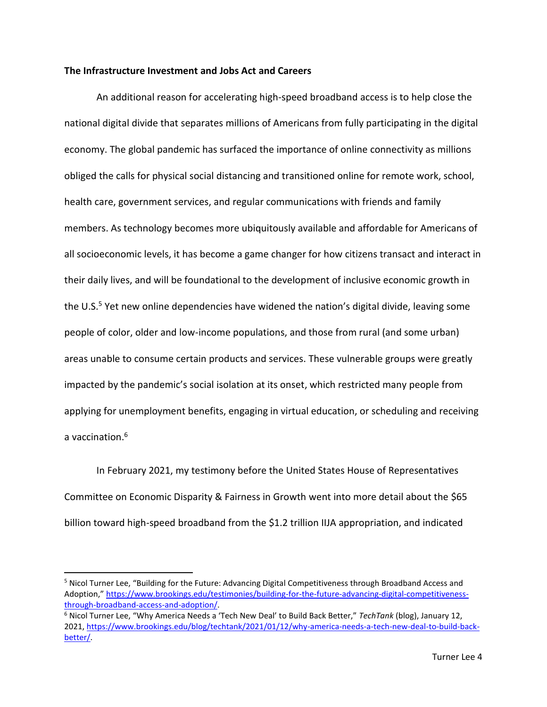### **The Infrastructure Investment and Jobs Act and Careers**

An additional reason for accelerating high-speed broadband access is to help close the national digital divide that separates millions of Americans from fully participating in the digital economy. The global pandemic has surfaced the importance of online connectivity as millions obliged the calls for physical social distancing and transitioned online for remote work, school, health care, government services, and regular communications with friends and family members. As technology becomes more ubiquitously available and affordable for Americans of all socioeconomic levels, it has become a game changer for how citizens transact and interact in their daily lives, and will be foundational to the development of inclusive economic growth in the U.S.<sup>5</sup> Yet new online dependencies have widened the nation's digital divide, leaving some people of color, older and low-income populations, and those from rural (and some urban) areas unable to consume certain products and services. These vulnerable groups were greatly impacted by the pandemic's social isolation at its onset, which restricted many people from applying for unemployment benefits, engaging in virtual education, or scheduling and receiving a vaccination. 6

In February 2021, my testimony before the United States House of Representatives Committee on Economic Disparity & Fairness in Growth went into more detail about the \$65 billion toward high-speed broadband from the \$1.2 trillion IIJA appropriation, and indicated

<sup>5</sup> Nicol Turner Lee, "Building for the Future: Advancing Digital Competitiveness through Broadband Access and Adoption," [https://www.brookings.edu/testimonies/building-for-the-future-advancing-digital-competitiveness](https://www.brookings.edu/testimonies/building-for-the-future-advancing-digital-competitiveness-through-broadband-access-and-adoption/)[through-broadband-access-and-adoption/.](https://www.brookings.edu/testimonies/building-for-the-future-advancing-digital-competitiveness-through-broadband-access-and-adoption/)

<sup>6</sup> Nicol Turner Lee, "Why America Needs a 'Tech New Deal' to Build Back Better," *TechTank* (blog), January 12, 2021, [https://www.brookings.edu/blog/techtank/2021/01/12/why-america-needs-a-tech-new-deal-to-build-back](https://www.brookings.edu/blog/techtank/2021/01/12/why-america-needs-a-tech-new-deal-to-build-back-better/)[better/.](https://www.brookings.edu/blog/techtank/2021/01/12/why-america-needs-a-tech-new-deal-to-build-back-better/)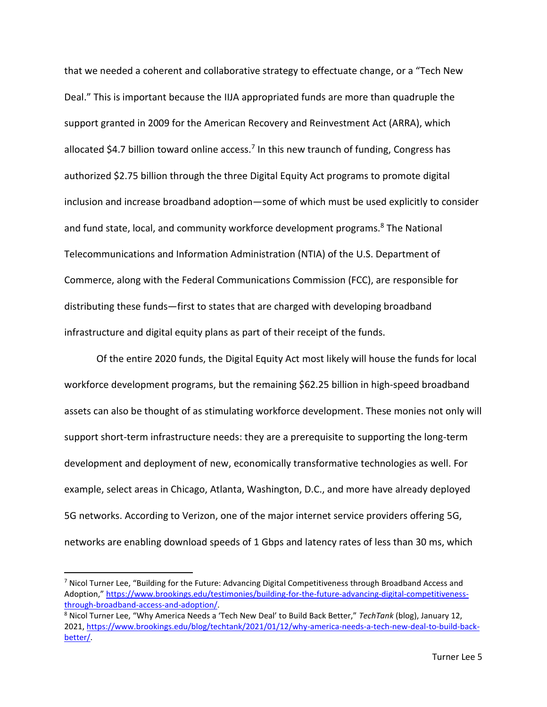that we needed a coherent and collaborative strategy to effectuate change, or a "Tech New Deal." This is important because the IIJA appropriated funds are more than quadruple the support granted in 2009 for the American Recovery and Reinvestment Act (ARRA), which allocated \$4.7 billion toward online access.<sup>7</sup> In this new traunch of funding, Congress has authorized \$2.75 billion through the three Digital Equity Act programs to promote digital inclusion and increase broadband adoption—some of which must be used explicitly to consider and fund state, local, and community workforce development programs.<sup>8</sup> The National Telecommunications and Information Administration (NTIA) of the U.S. Department of Commerce, along with the Federal Communications Commission (FCC), are responsible for distributing these funds—first to states that are charged with developing broadband infrastructure and digital equity plans as part of their receipt of the funds.

Of the entire 2020 funds, the Digital Equity Act most likely will house the funds for local workforce development programs, but the remaining \$62.25 billion in high-speed broadband assets can also be thought of as stimulating workforce development. These monies not only will support short-term infrastructure needs: they are a prerequisite to supporting the long-term development and deployment of new, economically transformative technologies as well. For example, select areas in Chicago, Atlanta, Washington, D.C., and more have already deployed 5G networks. According to Verizon, one of the major internet service providers offering 5G, networks are enabling download speeds of 1 Gbps and latency rates of less than 30 ms, which

<sup>&</sup>lt;sup>7</sup> Nicol Turner Lee, "Building for the Future: Advancing Digital Competitiveness through Broadband Access and Adoption," [https://www.brookings.edu/testimonies/building-for-the-future-advancing-digital-competitiveness](https://www.brookings.edu/testimonies/building-for-the-future-advancing-digital-competitiveness-through-broadband-access-and-adoption/)[through-broadband-access-and-adoption/.](https://www.brookings.edu/testimonies/building-for-the-future-advancing-digital-competitiveness-through-broadband-access-and-adoption/)

<sup>8</sup> Nicol Turner Lee, "Why America Needs a 'Tech New Deal' to Build Back Better," *TechTank* (blog), January 12, 2021, [https://www.brookings.edu/blog/techtank/2021/01/12/why-america-needs-a-tech-new-deal-to-build-back](https://www.brookings.edu/blog/techtank/2021/01/12/why-america-needs-a-tech-new-deal-to-build-back-better/)[better/.](https://www.brookings.edu/blog/techtank/2021/01/12/why-america-needs-a-tech-new-deal-to-build-back-better/)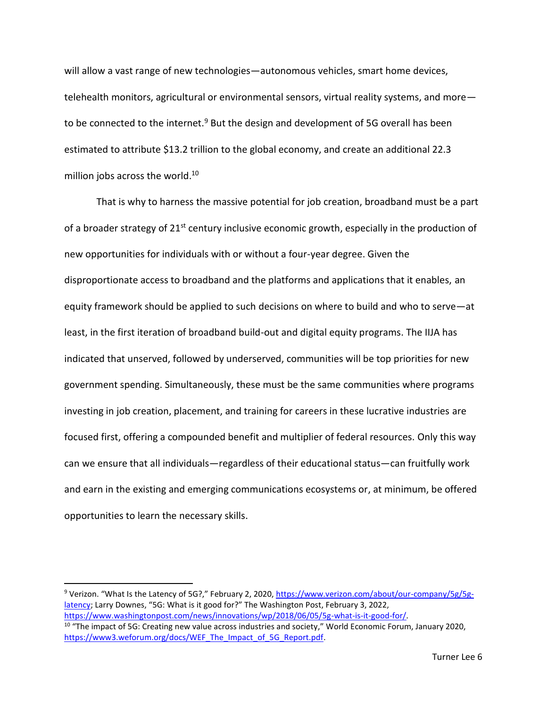will allow a vast range of new technologies—autonomous vehicles, smart home devices, telehealth monitors, agricultural or environmental sensors, virtual reality systems, and more to be connected to the internet.<sup>9</sup> But the design and development of 5G overall has been estimated to attribute \$13.2 trillion to the global economy, and create an additional 22.3 million jobs across the world. 10

That is why to harness the massive potential for job creation, broadband must be a part of a broader strategy of  $21^{st}$  century inclusive economic growth, especially in the production of new opportunities for individuals with or without a four-year degree. Given the disproportionate access to broadband and the platforms and applications that it enables, an equity framework should be applied to such decisions on where to build and who to serve—at least, in the first iteration of broadband build-out and digital equity programs. The IIJA has indicated that unserved, followed by underserved, communities will be top priorities for new government spending. Simultaneously, these must be the same communities where programs investing in job creation, placement, and training for careers in these lucrative industries are focused first, offering a compounded benefit and multiplier of federal resources. Only this way can we ensure that all individuals—regardless of their educational status—can fruitfully work and earn in the existing and emerging communications ecosystems or, at minimum, be offered opportunities to learn the necessary skills.

<sup>9</sup> Verizon. "What Is the Latency of 5G?," February 2, 2020, [https://www.verizon.com/about/our-company/5g/5g](https://www.verizon.com/about/our-company/5g/5g-latency)[latency](https://www.verizon.com/about/our-company/5g/5g-latency); Larry Downes, "5G: What is it good for?" The Washington Post, February 3, 2022. [https://www.washingtonpost.com/news/innovations/wp/2018/06/05/5g-what-is-it-good-for/.](https://www.washingtonpost.com/news/innovations/wp/2018/06/05/5g-what-is-it-good-for/) <sup>10</sup> "The impact of 5G: Creating new value across industries and society," World Economic Forum, January 2020, [https://www3.weforum.org/docs/WEF\\_The\\_Impact\\_of\\_5G\\_Report.pdf.](https://www3.weforum.org/docs/WEF_The_Impact_of_5G_Report.pdf)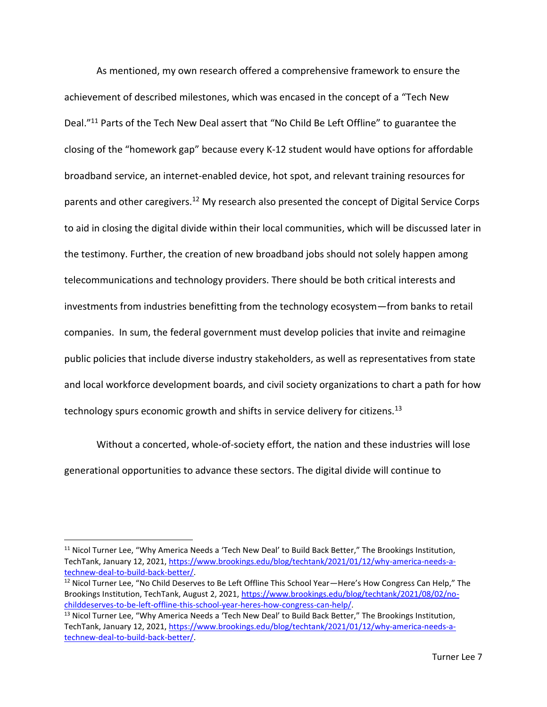As mentioned, my own research offered a comprehensive framework to ensure the achievement of described milestones, which was encased in the concept of a "Tech New Deal."<sup>11</sup> Parts of the Tech New Deal assert that "No Child Be Left Offline" to guarantee the closing of the "homework gap" because every K-12 student would have options for affordable broadband service, an internet-enabled device, hot spot, and relevant training resources for parents and other caregivers.<sup>12</sup> My research also presented the concept of Digital Service Corps to aid in closing the digital divide within their local communities, which will be discussed later in the testimony. Further, the creation of new broadband jobs should not solely happen among telecommunications and technology providers. There should be both critical interests and investments from industries benefitting from the technology ecosystem—from banks to retail companies. In sum, the federal government must develop policies that invite and reimagine public policies that include diverse industry stakeholders, as well as representatives from state and local workforce development boards, and civil society organizations to chart a path for how technology spurs economic growth and shifts in service delivery for citizens.<sup>13</sup>

Without a concerted, whole-of-society effort, the nation and these industries will lose generational opportunities to advance these sectors. The digital divide will continue to

<sup>&</sup>lt;sup>11</sup> Nicol Turner Lee, "Why America Needs a 'Tech New Deal' to Build Back Better," The Brookings Institution, TechTank, January 12, 2021, [https://www.brookings.edu/blog/techtank/2021/01/12/why-america-needs-a](https://www.brookings.edu/blog/techtank/2021/01/12/why-america-needs-a-technew-deal-to-build-back-better/)[technew-deal-to-build-back-better/.](https://www.brookings.edu/blog/techtank/2021/01/12/why-america-needs-a-technew-deal-to-build-back-better/)

<sup>&</sup>lt;sup>12</sup> Nicol Turner Lee, "No Child Deserves to Be Left Offline This School Year—Here's How Congress Can Help," The Brookings Institution, TechTank, August 2, 2021, [https://www.brookings.edu/blog/techtank/2021/08/02/no](https://www.brookings.edu/blog/techtank/2021/08/02/no-childdeserves-to-be-left-offline-this-school-year-heres-how-congress-can-help/)[childdeserves-to-be-left-offline-this-school-year-heres-how-congress-can-help/.](https://www.brookings.edu/blog/techtank/2021/08/02/no-childdeserves-to-be-left-offline-this-school-year-heres-how-congress-can-help/)

<sup>&</sup>lt;sup>13</sup> Nicol Turner Lee, "Why America Needs a 'Tech New Deal' to Build Back Better," The Brookings Institution, TechTank, January 12, 2021, [https://www.brookings.edu/blog/techtank/2021/01/12/why-america-needs-a](https://www.brookings.edu/blog/techtank/2021/01/12/why-america-needs-a-technew-deal-to-build-back-better/)[technew-deal-to-build-back-better/.](https://www.brookings.edu/blog/techtank/2021/01/12/why-america-needs-a-technew-deal-to-build-back-better/)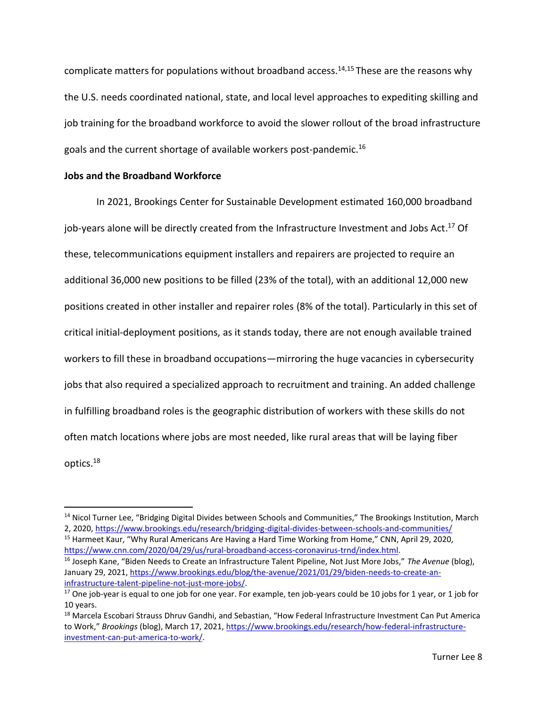complicate matters for populations without broadband access.<sup>14,15</sup> These are the reasons why the U.S. needs coordinated national, state, and local level approaches to expediting skilling and job training for the broadband workforce to avoid the slower rollout of the broad infrastructure goals and the current shortage of available workers post-pandemic. 16

### **Jobs and the Broadband Workforce**

In 2021, Brookings Center for Sustainable Development estimated 160,000 broadband job-years alone will be directly created from the Infrastructure Investment and Jobs Act.<sup>17</sup> Of these, telecommunications equipment installers and repairers are projected to require an additional 36,000 new positions to be filled (23% of the total), with an additional 12,000 new positions created in other installer and repairer roles (8% of the total). Particularly in this set of critical initial-deployment positions, as it stands today, there are not enough available trained workers to fill these in broadband occupations—mirroring the huge vacancies in cybersecurity jobs that also required a specialized approach to recruitment and training. An added challenge in fulfilling broadband roles is the geographic distribution of workers with these skills do not often match locations where jobs are most needed, like rural areas that will be laying fiber optics. 18

<sup>&</sup>lt;sup>14</sup> Nicol Turner Lee, "Bridging Digital Divides between Schools and Communities," The Brookings Institution, March 2, 2020,<https://www.brookings.edu/research/bridging-digital-divides-between-schools-and-communities/>

<sup>&</sup>lt;sup>15</sup> Harmeet Kaur, "Why Rural Americans Are Having a Hard Time Working from Home," CNN, April 29, 2020, [https://www.cnn.com/2020/04/29/us/rural-broadband-access-coronavirus-trnd/index.html.](https://www.cnn.com/2020/04/29/us/rural-broadband-access-coronavirus-trnd/index.html)

<sup>16</sup> Joseph Kane, "Biden Needs to Create an Infrastructure Talent Pipeline, Not Just More Jobs," *The Avenue* (blog), January 29, 2021[, https://www.brookings.edu/blog/the-avenue/2021/01/29/biden-needs-to-create-an](https://www.brookings.edu/blog/the-avenue/2021/01/29/biden-needs-to-create-an-infrastructure-talent-pipeline-not-just-more-jobs/)[infrastructure-talent-pipeline-not-just-more-jobs/.](https://www.brookings.edu/blog/the-avenue/2021/01/29/biden-needs-to-create-an-infrastructure-talent-pipeline-not-just-more-jobs/)

 $17$  One job-year is equal to one job for one year. For example, ten job-years could be 10 jobs for 1 year, or 1 job for 10 years.

<sup>&</sup>lt;sup>18</sup> Marcela Escobari Strauss Dhruv Gandhi, and Sebastian, "How Federal Infrastructure Investment Can Put America to Work," *Brookings* (blog), March 17, 2021, [https://www.brookings.edu/research/how-federal-infrastructure](https://www.brookings.edu/research/how-federal-infrastructure-investment-can-put-america-to-work/)[investment-can-put-america-to-work/.](https://www.brookings.edu/research/how-federal-infrastructure-investment-can-put-america-to-work/)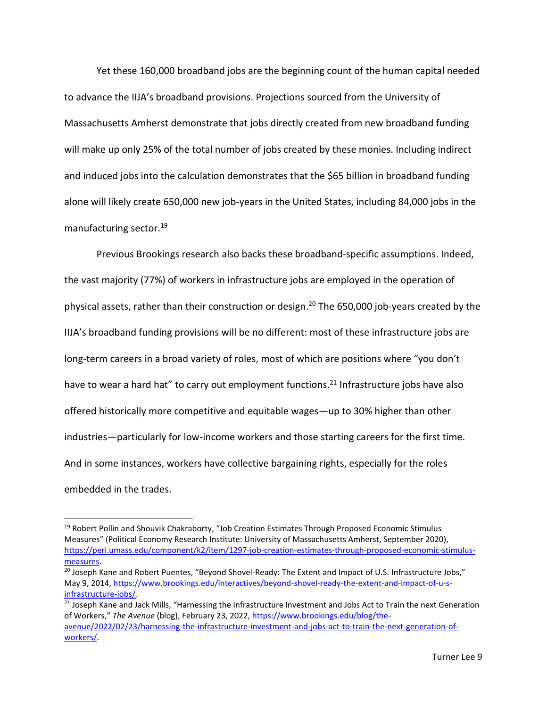Yet these 160,000 broadband jobs are the beginning count of the human capital needed to advance the IIJA's broadband provisions. Projections sourced from the University of Massachusetts Amherst demonstrate that jobs directly created from new broadband funding will make up only 25% of the total number of jobs created by these monies. Including indirect and induced jobs into the calculation demonstrates that the \$65 billion in broadband funding alone will likely create 650,000 new job-years in the United States, including 84,000 jobs in the manufacturing sector.<sup>19</sup>

Previous Brookings research also backs these broadband-specific assumptions. Indeed, the vast majority (77%) of workers in infrastructure jobs are employed in the operation of physical assets, rather than their construction or design. <sup>20</sup> The 650,000 job-years created by the IIJA's broadband funding provisions will be no different: most of these infrastructure jobs are long-term careers in a broad variety of roles, most of which are positions where "you don't have to wear a hard hat" to carry out employment functions.<sup>21</sup> Infrastructure jobs have also offered historically more competitive and equitable wages—up to 30% higher than other industries—particularly for low-income workers and those starting careers for the first time. And in some instances, workers have collective bargaining rights, especially for the roles embedded in the trades.

<sup>&</sup>lt;sup>19</sup> Robert Pollin and Shouvik Chakraborty, "Job Creation Estimates Through Proposed Economic Stimulus Measures" (Political Economy Research Institute: University of Massachusetts Amherst, September 2020), [https://peri.umass.edu/component/k2/item/1297-job-creation-estimates-through-proposed-economic-stimulus](https://peri.umass.edu/component/k2/item/1297-job-creation-estimates-through-proposed-economic-stimulus-measures)[measures.](https://peri.umass.edu/component/k2/item/1297-job-creation-estimates-through-proposed-economic-stimulus-measures)

<sup>&</sup>lt;sup>20</sup> Joseph Kane and Robert Puentes, "Beyond Shovel-Ready: The Extent and Impact of U.S. Infrastructure Jobs," May 9, 2014, [https://www.brookings.edu/interactives/beyond-shovel-ready-the-extent-and-impact-of-u-s](https://www.brookings.edu/interactives/beyond-shovel-ready-the-extent-and-impact-of-u-s-infrastructure-jobs/)[infrastructure-jobs/.](https://www.brookings.edu/interactives/beyond-shovel-ready-the-extent-and-impact-of-u-s-infrastructure-jobs/)

<sup>&</sup>lt;sup>21</sup> Joseph Kane and Jack Mills, "Harnessing the Infrastructure Investment and Jobs Act to Train the next Generation of Workers," *The Avenue* (blog), February 23, 2022[, https://www.brookings.edu/blog/the](https://www.brookings.edu/blog/the-avenue/2022/02/23/harnessing-the-infrastructure-investment-and-jobs-act-to-train-the-next-generation-of-workers/)[avenue/2022/02/23/harnessing-the-infrastructure-investment-and-jobs-act-to-train-the-next-generation-of](https://www.brookings.edu/blog/the-avenue/2022/02/23/harnessing-the-infrastructure-investment-and-jobs-act-to-train-the-next-generation-of-workers/)[workers/.](https://www.brookings.edu/blog/the-avenue/2022/02/23/harnessing-the-infrastructure-investment-and-jobs-act-to-train-the-next-generation-of-workers/)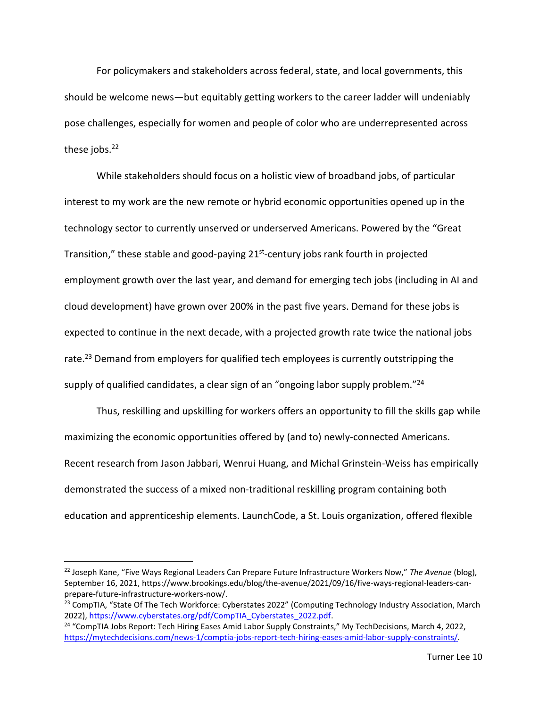For policymakers and stakeholders across federal, state, and local governments, this should be welcome news—but equitably getting workers to the career ladder will undeniably pose challenges, especially for women and people of color who are underrepresented across these jobs. $22$ 

While stakeholders should focus on a holistic view of broadband jobs, of particular interest to my work are the new remote or hybrid economic opportunities opened up in the technology sector to currently unserved or underserved Americans. Powered by the "Great Transition," these stable and good-paying 21<sup>st</sup>-century jobs rank fourth in projected employment growth over the last year, and demand for emerging tech jobs (including in AI and cloud development) have grown over 200% in the past five years. Demand for these jobs is expected to continue in the next decade, with a projected growth rate twice the national jobs rate.<sup>23</sup> Demand from employers for qualified tech employees is currently outstripping the supply of qualified candidates, a clear sign of an "ongoing labor supply problem."<sup>24</sup>

Thus, reskilling and upskilling for workers offers an opportunity to fill the skills gap while maximizing the economic opportunities offered by (and to) newly-connected Americans. Recent research from Jason Jabbari, Wenrui Huang, and Michal Grinstein-Weiss has empirically demonstrated the success of a mixed non-traditional reskilling program containing both education and apprenticeship elements. LaunchCode, a St. Louis organization, offered flexible

<sup>22</sup> Joseph Kane, "Five Ways Regional Leaders Can Prepare Future Infrastructure Workers Now," *The Avenue* (blog), September 16, 2021, [https://www.brookings.edu/blog/the-avenue/2021/09/16/five-ways-regional-leaders-can](https://www.brookings.edu/blog/the-avenue/2021/09/16/five-ways-regional-leaders-can-prepare-future-infrastructure-workers-now/)[prepare-future-infrastructure-workers-now/.](https://www.brookings.edu/blog/the-avenue/2021/09/16/five-ways-regional-leaders-can-prepare-future-infrastructure-workers-now/)

<sup>&</sup>lt;sup>23</sup> CompTIA, "State Of The Tech Workforce: Cyberstates 2022" (Computing Technology Industry Association, March 2022), [https://www.cyberstates.org/pdf/CompTIA\\_Cyberstates\\_2022.pdf.](https://www.cyberstates.org/pdf/CompTIA_Cyberstates_2022.pdf)

<sup>&</sup>lt;sup>24</sup> "CompTIA Jobs Report: Tech Hiring Eases Amid Labor Supply Constraints," My TechDecisions, March 4, 2022, [https://mytechdecisions.com/news-1/comptia-jobs-report-tech-hiring-eases-amid-labor-supply-constraints/.](https://mytechdecisions.com/news-1/comptia-jobs-report-tech-hiring-eases-amid-labor-supply-constraints/)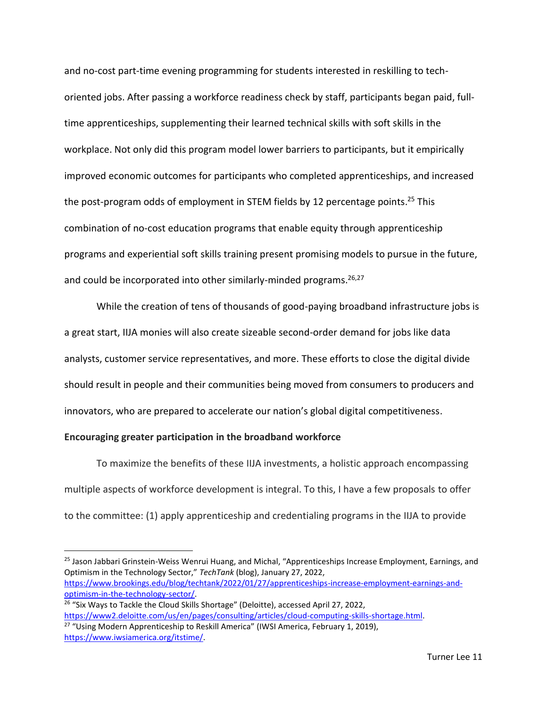and no-cost part-time evening programming for students interested in reskilling to techoriented jobs. After passing a workforce readiness check by staff, participants began paid, fulltime apprenticeships, supplementing their learned technical skills with soft skills in the workplace. Not only did this program model lower barriers to participants, but it empirically improved economic outcomes for participants who completed apprenticeships, and increased the post-program odds of employment in STEM fields by 12 percentage points.<sup>25</sup> This combination of no-cost education programs that enable equity through apprenticeship programs and experiential soft skills training present promising models to pursue in the future, and could be incorporated into other similarly-minded programs.<sup>26,27</sup>

While the creation of tens of thousands of good-paying broadband infrastructure jobs is a great start, IIJA monies will also create sizeable second-order demand for jobs like data analysts, customer service representatives, and more. These efforts to close the digital divide should result in people and their communities being moved from consumers to producers and innovators, who are prepared to accelerate our nation's global digital competitiveness.

## **Encouraging greater participation in the broadband workforce**

To maximize the benefits of these IIJA investments, a holistic approach encompassing multiple aspects of workforce development is integral. To this, I have a few proposals to offer to the committee: (1) apply apprenticeship and credentialing programs in the IIJA to provide

<sup>25</sup> Jason Jabbari Grinstein-Weiss Wenrui Huang, and Michal, "Apprenticeships Increase Employment, Earnings, and Optimism in the Technology Sector," *TechTank* (blog), January 27, 2022, [https://www.brookings.edu/blog/techtank/2022/01/27/apprenticeships-increase-employment-earnings-and](https://www.brookings.edu/blog/techtank/2022/01/27/apprenticeships-increase-employment-earnings-and-optimism-in-the-technology-sector/)[optimism-in-the-technology-sector/.](https://www.brookings.edu/blog/techtank/2022/01/27/apprenticeships-increase-employment-earnings-and-optimism-in-the-technology-sector/)

<sup>&</sup>lt;sup>26</sup> "Six Ways to Tackle the Cloud Skills Shortage" (Deloitte), accessed April 27, 2022, [https://www2.deloitte.com/us/en/pages/consulting/articles/cloud-computing-skills-shortage.html.](https://www2.deloitte.com/us/en/pages/consulting/articles/cloud-computing-skills-shortage.html) <sup>27</sup> "Using Modern Apprenticeship to Reskill America" (IWSI America, February 1, 2019),

[https://www.iwsiamerica.org/itstime/.](https://www.iwsiamerica.org/itstime/)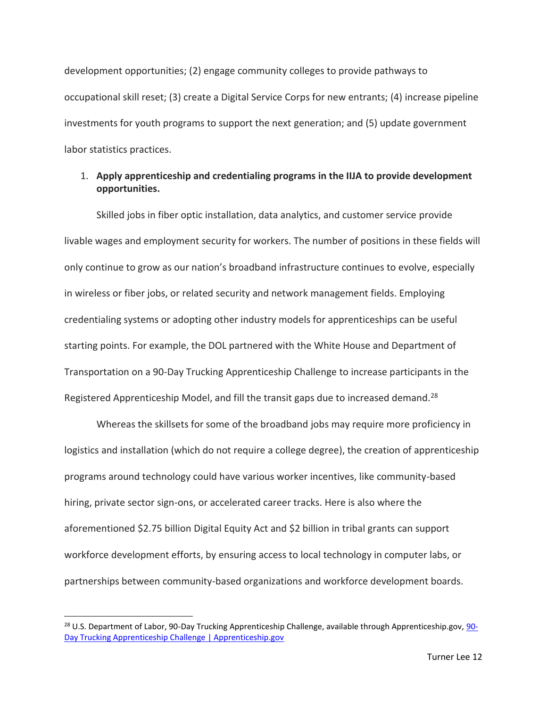development opportunities; (2) engage community colleges to provide pathways to occupational skill reset; (3) create a Digital Service Corps for new entrants; (4) increase pipeline investments for youth programs to support the next generation; and (5) update government labor statistics practices.

# 1. **Apply apprenticeship and credentialing programs in the IIJA to provide development opportunities.**

Skilled jobs in fiber optic installation, data analytics, and customer service provide livable wages and employment security for workers. The number of positions in these fields will only continue to grow as our nation's broadband infrastructure continues to evolve, especially in wireless or fiber jobs, or related security and network management fields. Employing credentialing systems or adopting other industry models for apprenticeships can be useful starting points. For example, the DOL partnered with the White House and Department of Transportation on a 90-Day Trucking Apprenticeship Challenge to increase participants in the Registered Apprenticeship Model, and fill the transit gaps due to increased demand.<sup>28</sup>

Whereas the skillsets for some of the broadband jobs may require more proficiency in logistics and installation (which do not require a college degree), the creation of apprenticeship programs around technology could have various worker incentives, like community-based hiring, private sector sign-ons, or accelerated career tracks. Here is also where the aforementioned \$2.75 billion Digital Equity Act and \$2 billion in tribal grants can support workforce development efforts, by ensuring access to local technology in computer labs, or partnerships between community-based organizations and workforce development boards.

<sup>&</sup>lt;sup>28</sup> U.S. Department of Labor, [90-](https://www.apprenticeship.gov/90-day-trucking-apprenticeship-challenge)Day Trucking Apprenticeship Challenge, available through Apprenticeship.gov, 90-[Day Trucking Apprenticeship Challenge | Apprenticeship.gov](https://www.apprenticeship.gov/90-day-trucking-apprenticeship-challenge)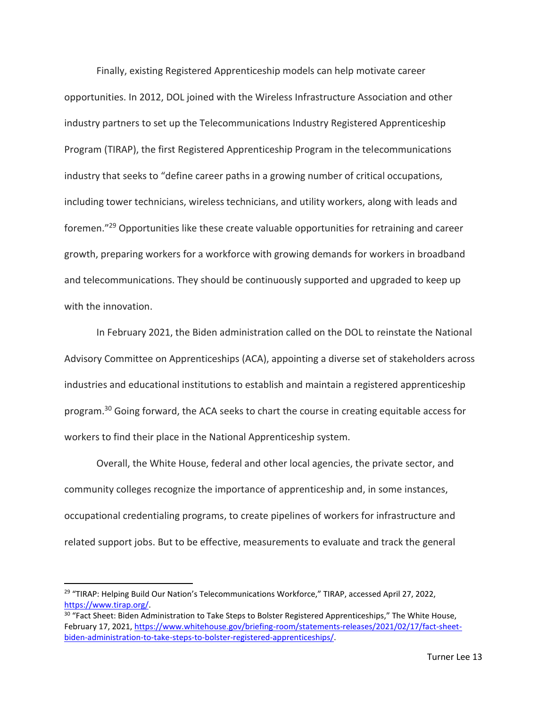Finally, existing Registered Apprenticeship models can help motivate career opportunities. In 2012, DOL joined with the Wireless Infrastructure Association and other industry partners to set up the Telecommunications Industry Registered Apprenticeship Program (TIRAP), the first Registered Apprenticeship Program in the telecommunications industry that seeks to "define career paths in a growing number of critical occupations, including tower technicians, wireless technicians, and utility workers, along with leads and foremen." <sup>29</sup> Opportunities like these create valuable opportunities for retraining and career growth, preparing workers for a workforce with growing demands for workers in broadband and telecommunications. They should be continuously supported and upgraded to keep up with the innovation.

In February 2021, the Biden administration called on the DOL to reinstate the National Advisory Committee on Apprenticeships (ACA), appointing a diverse set of stakeholders across industries and educational institutions to establish and maintain a registered apprenticeship program.<sup>30</sup> Going forward, the ACA seeks to chart the course in creating equitable access for workers to find their place in the National Apprenticeship system.

Overall, the White House, federal and other local agencies, the private sector, and community colleges recognize the importance of apprenticeship and, in some instances, occupational credentialing programs, to create pipelines of workers for infrastructure and related support jobs. But to be effective, measurements to evaluate and track the general

<sup>&</sup>lt;sup>29</sup> "TIRAP: Helping Build Our Nation's Telecommunications Workforce," TIRAP, accessed April 27, 2022, [https://www.tirap.org/.](https://www.tirap.org/)

<sup>&</sup>lt;sup>30</sup> "Fact Sheet: Biden Administration to Take Steps to Bolster Registered Apprenticeships," The White House, February 17, 2021[, https://www.whitehouse.gov/briefing-room/statements-releases/2021/02/17/fact-sheet](https://www.whitehouse.gov/briefing-room/statements-releases/2021/02/17/fact-sheet-biden-administration-to-take-steps-to-bolster-registered-apprenticeships/)[biden-administration-to-take-steps-to-bolster-registered-apprenticeships/.](https://www.whitehouse.gov/briefing-room/statements-releases/2021/02/17/fact-sheet-biden-administration-to-take-steps-to-bolster-registered-apprenticeships/)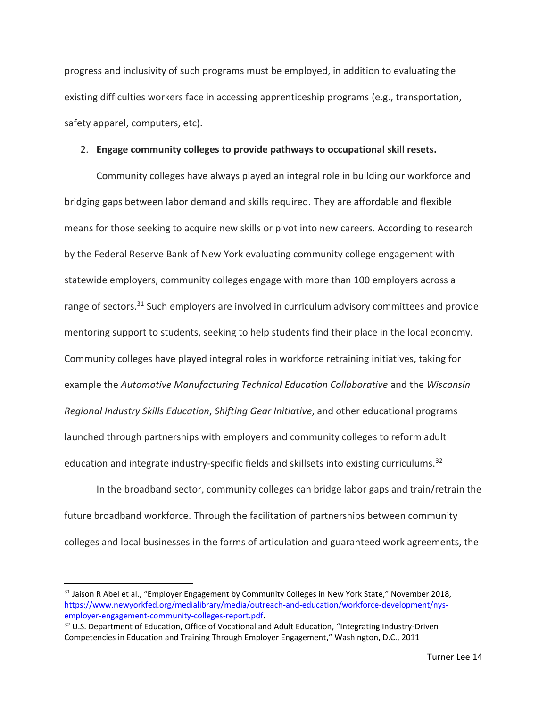progress and inclusivity of such programs must be employed, in addition to evaluating the existing difficulties workers face in accessing apprenticeship programs (e.g., transportation, safety apparel, computers, etc).

### 2. **Engage community colleges to provide pathways to occupational skill resets.**

Community colleges have always played an integral role in building our workforce and bridging gaps between labor demand and skills required. They are affordable and flexible means for those seeking to acquire new skills or pivot into new careers. According to research by the Federal Reserve Bank of New York evaluating community college engagement with statewide employers, community colleges engage with more than 100 employers across a range of sectors.<sup>31</sup> Such employers are involved in curriculum advisory committees and provide mentoring support to students, seeking to help students find their place in the local economy. Community colleges have played integral roles in workforce retraining initiatives, taking for example the *Automotive Manufacturing Technical Education Collaborative* and the *Wisconsin Regional Industry Skills Education*, *Shifting Gear Initiative*, and other educational programs launched through partnerships with employers and community colleges to reform adult education and integrate industry-specific fields and skillsets into existing curriculums.<sup>32</sup>

In the broadband sector, community colleges can bridge labor gaps and train/retrain the future broadband workforce. Through the facilitation of partnerships between community colleges and local businesses in the forms of articulation and guaranteed work agreements, the

<sup>&</sup>lt;sup>31</sup> Jaison R Abel et al., "Employer Engagement by Community Colleges in New York State," November 2018, [https://www.newyorkfed.org/medialibrary/media/outreach-and-education/workforce-development/nys](https://www.newyorkfed.org/medialibrary/media/outreach-and-education/workforce-development/nys-employer-engagement-community-colleges-report.pdf)[employer-engagement-community-colleges-report.pdf.](https://www.newyorkfed.org/medialibrary/media/outreach-and-education/workforce-development/nys-employer-engagement-community-colleges-report.pdf)

<sup>&</sup>lt;sup>32</sup> U.S. Department of Education, Office of Vocational and Adult Education, "Integrating Industry-Driven Competencies in Education and Training Through Employer Engagement," Washington, D.C., 2011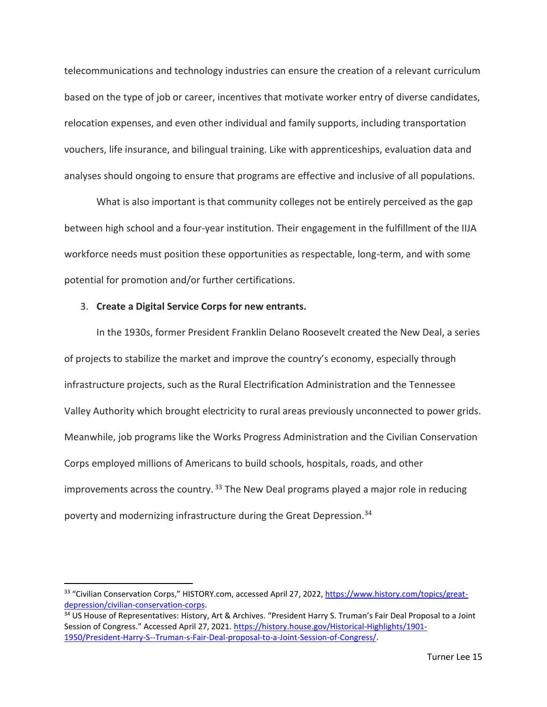telecommunications and technology industries can ensure the creation of a relevant curriculum based on the type of job or career, incentives that motivate worker entry of diverse candidates, relocation expenses, and even other individual and family supports, including transportation vouchers, life insurance, and bilingual training. Like with apprenticeships, evaluation data and analyses should ongoing to ensure that programs are effective and inclusive of all populations.

What is also important is that community colleges not be entirely perceived as the gap between high school and a four-year institution. Their engagement in the fulfillment of the IIJA workforce needs must position these opportunities as respectable, long-term, and with some potential for promotion and/or further certifications.

#### 3. **Create a Digital Service Corps for new entrants.**

In the 1930s, former President Franklin Delano Roosevelt created the New Deal, a series of projects to stabilize the market and improve the country's economy, especially through infrastructure projects, such as the Rural Electrification Administration and the Tennessee Valley Authority which brought electricity to rural areas previously unconnected to power grids. Meanwhile, job programs like the Works Progress Administration and the Civilian Conservation Corps employed millions of Americans to build schools, hospitals, roads, and other improvements across the country.  $33$  The New Deal programs played a major role in reducing poverty and modernizing infrastructure during the Great Depression.<sup>34</sup>

<sup>33</sup> "Civilian Conservation Corps," HISTORY.com, accessed April 27, 2022, [https://www.history.com/topics/great](https://www.history.com/topics/great-depression/civilian-conservation-corps)[depression/civilian-conservation-corps.](https://www.history.com/topics/great-depression/civilian-conservation-corps)

<sup>34</sup> US House of Representatives: History, Art & Archives. "President Harry S. Truman's Fair Deal Proposal to a Joint Session of Congress." Accessed April 27, 2021. [https://history.house.gov/Historical-Highlights/1901-](https://history.house.gov/Historical-Highlights/1901-%201950/President-Harry-S--Truman-s-Fair-Deal-proposal-to-a-Joint-Session-of-Congress/) [1950/President-Harry-S--Truman-s-Fair-Deal-proposal-to-a-Joint-Session-of-Congress/.](https://history.house.gov/Historical-Highlights/1901-%201950/President-Harry-S--Truman-s-Fair-Deal-proposal-to-a-Joint-Session-of-Congress/)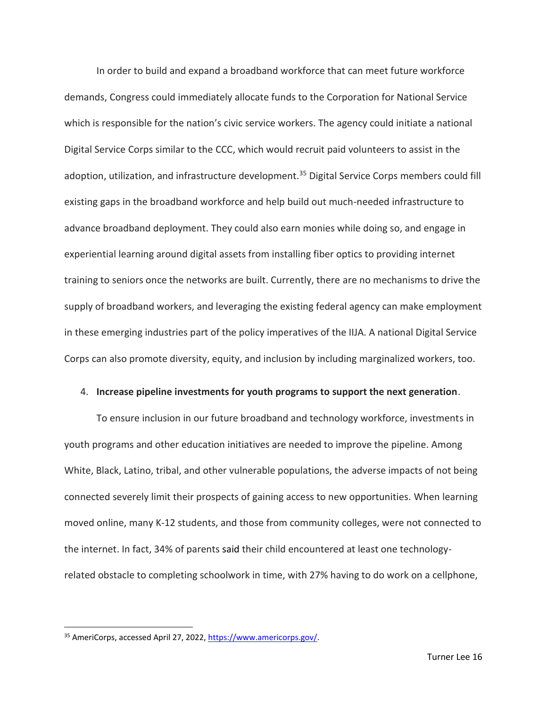In order to build and expand a broadband workforce that can meet future workforce demands, Congress could immediately allocate funds to the Corporation for National Service which is responsible for the nation's civic service workers. The agency could initiate a national Digital Service Corps similar to the CCC, which would recruit paid volunteers to assist in the adoption, utilization, and infrastructure development.<sup>35</sup> Digital Service Corps members could fill existing gaps in the broadband workforce and help build out much-needed infrastructure to advance broadband deployment. They could also earn monies while doing so, and engage in experiential learning around digital assets from installing fiber optics to providing internet training to seniors once the networks are built. Currently, there are no mechanisms to drive the supply of broadband workers, and leveraging the existing federal agency can make employment in these emerging industries part of the policy imperatives of the IIJA. A national Digital Service Corps can also promote diversity, equity, and inclusion by including marginalized workers, too.

## 4. **Increase pipeline investments for youth programs to support the next generation**.

To ensure inclusion in our future broadband and technology workforce, investments in youth programs and other education initiatives are needed to improve the pipeline. Among White, Black, Latino, tribal, and other vulnerable populations, the adverse impacts of not being connected severely limit their prospects of gaining access to new opportunities. When learning moved online, many K-12 students, and those from community colleges, were not connected to the internet. In fact, 34% of parents said their child encountered at least one technologyrelated obstacle to completing schoolwork in time, with 27% having to do work on a cellphone,

<sup>35</sup> AmeriCorps, accessed April 27, 2022, [https://www.americorps.gov/.](https://www.americorps.gov/)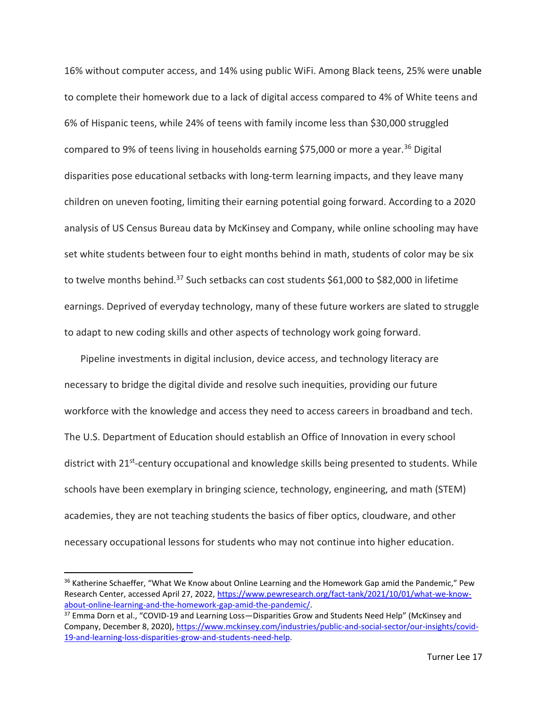16% without computer access, and 14% using public WiFi. Among Black teens, 25% were unable to complete their homework due to a lack of digital access compared to 4% of White teens and 6% of Hispanic teens, while 24% of teens with family income less than \$30,000 struggled compared to 9% of teens living in households earning \$75,000 or more a year.<sup>36</sup> Digital disparities pose educational setbacks with long-term learning impacts, and they leave many children on uneven footing, limiting their earning potential going forward. According to a 2020 analysis of US Census Bureau data by McKinsey and Company, while online schooling may have set white students between four to eight months behind in math, students of color may be six to twelve months behind.<sup>37</sup> Such setbacks can cost students \$61,000 to \$82,000 in lifetime earnings. Deprived of everyday technology, many of these future workers are slated to struggle to adapt to new coding skills and other aspects of technology work going forward.

Pipeline investments in digital inclusion, device access, and technology literacy are necessary to bridge the digital divide and resolve such inequities, providing our future workforce with the knowledge and access they need to access careers in broadband and tech. The U.S. Department of Education should establish an Office of Innovation in every school district with 21<sup>st</sup>-century occupational and knowledge skills being presented to students. While schools have been exemplary in bringing science, technology, engineering, and math (STEM) academies, they are not teaching students the basics of fiber optics, cloudware, and other necessary occupational lessons for students who may not continue into higher education.

<sup>&</sup>lt;sup>36</sup> Katherine Schaeffer, "What We Know about Online Learning and the Homework Gap amid the Pandemic," Pew Research Center, accessed April 27, 2022, [https://www.pewresearch.org/fact-tank/2021/10/01/what-we-know](https://www.pewresearch.org/fact-tank/2021/10/01/what-we-know-about-online-learning-and-the-homework-gap-amid-the-pandemic/)[about-online-learning-and-the-homework-gap-amid-the-pandemic/.](https://www.pewresearch.org/fact-tank/2021/10/01/what-we-know-about-online-learning-and-the-homework-gap-amid-the-pandemic/)

<sup>&</sup>lt;sup>37</sup> Emma Dorn et al., "COVID-19 and Learning Loss—Disparities Grow and Students Need Help" (McKinsey and Company, December 8, 2020)[, https://www.mckinsey.com/industries/public-and-social-sector/our-insights/covid-](https://www.mckinsey.com/industries/public-and-social-sector/our-insights/covid-19-and-learning-loss-disparities-grow-and-students-need-help)[19-and-learning-loss-disparities-grow-and-students-need-help.](https://www.mckinsey.com/industries/public-and-social-sector/our-insights/covid-19-and-learning-loss-disparities-grow-and-students-need-help)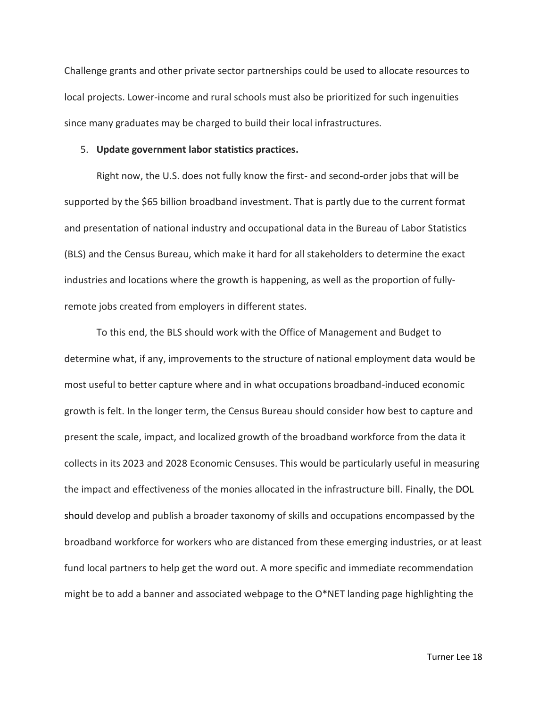Challenge grants and other private sector partnerships could be used to allocate resources to local projects. Lower-income and rural schools must also be prioritized for such ingenuities since many graduates may be charged to build their local infrastructures.

#### 5. **Update government labor statistics practices.**

Right now, the U.S. does not fully know the first- and second-order jobs that will be supported by the \$65 billion broadband investment. That is partly due to the current format and presentation of national industry and occupational data in the Bureau of Labor Statistics (BLS) and the Census Bureau, which make it hard for all stakeholders to determine the exact industries and locations where the growth is happening, as well as the proportion of fullyremote jobs created from employers in different states.

To this end, the BLS should work with the Office of Management and Budget to determine what, if any, improvements to the structure of national employment data would be most useful to better capture where and in what occupations broadband-induced economic growth is felt. In the longer term, the Census Bureau should consider how best to capture and present the scale, impact, and localized growth of the broadband workforce from the data it collects in its 2023 and 2028 Economic Censuses. This would be particularly useful in measuring the impact and effectiveness of the monies allocated in the infrastructure bill. Finally, the DOL should develop and publish a broader taxonomy of skills and occupations encompassed by the broadband workforce for workers who are distanced from these emerging industries, or at least fund local partners to help get the word out. A more specific and immediate recommendation might be to add a banner and associated webpage to the  $O^*$ NET landing page highlighting the